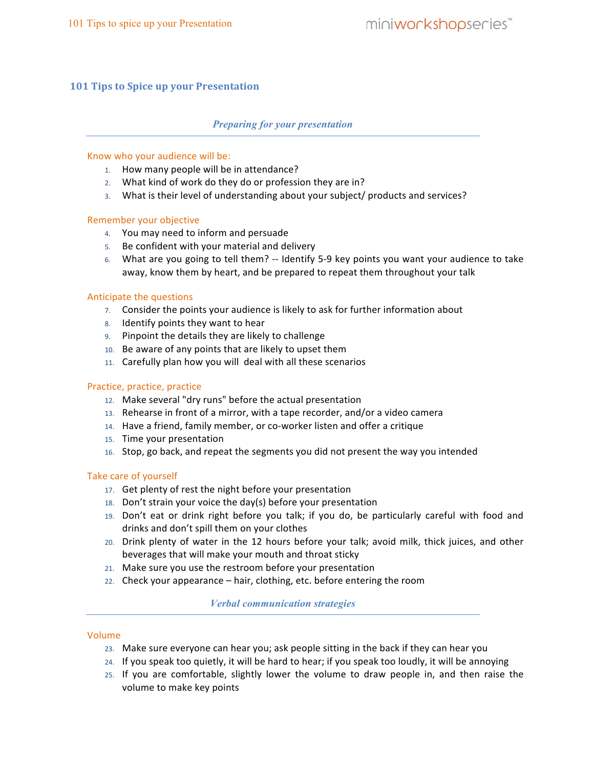# **101 Tips to Spice up your Presentation**

## *Preparing for your presentation*

## Know who your audience will be:

- 1. How many people will be in attendance?
- 2. What kind of work do they do or profession they are in?
- 3. What is their level of understanding about your subject/ products and services?

#### Remember your objective

- 4. You may need to inform and persuade
- 5. Be confident with your material and delivery
- 6. What are you going to tell them? -- Identify 5-9 key points you want your audience to take away, know them by heart, and be prepared to repeat them throughout your talk

#### Anticipate the questions

- 7. Consider the points your audience is likely to ask for further information about
- 8. Identify points they want to hear
- 9. Pinpoint the details they are likely to challenge
- 10. Be aware of any points that are likely to upset them.
- 11. Carefully plan how you will deal with all these scenarios

## Practice, practice, practice

- 12. Make several "dry runs" before the actual presentation
- 13. Rehearse in front of a mirror, with a tape recorder, and/or a video camera
- 14. Have a friend, family member, or co-worker listen and offer a critique
- 15. Time your presentation
- 16. Stop, go back, and repeat the segments you did not present the way you intended

#### Take care of yourself

- 17. Get plenty of rest the night before your presentation
- 18. Don't strain your voice the day(s) before your presentation
- 19. Don't eat or drink right before you talk; if you do, be particularly careful with food and drinks and don't spill them on your clothes
- 20. Drink plenty of water in the 12 hours before your talk; avoid milk, thick juices, and other beverages that will make your mouth and throat sticky
- 21. Make sure you use the restroom before your presentation
- 22. Check your appearance hair, clothing, etc. before entering the room

# *Verbal communication strategies*

#### Volume

- 23. Make sure everyone can hear you; ask people sitting in the back if they can hear you
- 24. If you speak too quietly, it will be hard to hear; if you speak too loudly, it will be annoying
- 25. If you are comfortable, slightly lower the volume to draw people in, and then raise the volume to make key points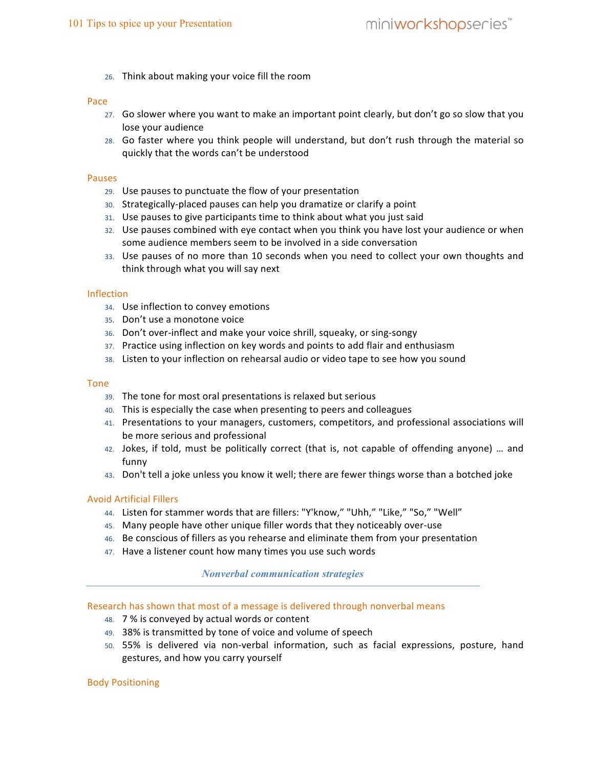26. Think about making your voice fill the room

#### Pace

- 27. Go slower where you want to make an important point clearly, but don't go so slow that you. lose your audience
- 28. Go faster where you think people will understand, but don't rush through the material so. quickly that the words can't be understood

#### Pauses

- 29. Use pauses to punctuate the flow of your presentation
- 30. Strategically-placed pauses can help you dramatize or clarify a point
- 31. Use pauses to give participants time to think about what you just said.
- 32. Use pauses combined with eye contact when you think you have lost your audience or when some audience members seem to be involved in a side conversation.
- 33. Use pauses of no more than 10 seconds when you need to collect your own thoughts and think through what you will say next

#### Inflection

- 34. Use inflection to convey emotions
- 35. Don't use a monotone voice
- 36. Don't over-inflect and make your voice shrill, squeaky, or sing-songy
- 37. Practice using inflection on key words and points to add flair and enthusiasm
- 38. Listen to your inflection on rehearsal audio or video tape to see how you sound

#### Tone

- 39. The tone for most oral presentations is relaxed but serious
- 40. This is especially the case when presenting to peers and colleagues
- 41. Presentations to your managers, customers, competitors, and professional associations will. be more serious and professional
- 42. Jokes, if told, must be politically correct (that is, not capable of offending anyone) ... and funny
- 43. Don't tell a joke unless you know it well; there are fewer things worse than a botched joke

#### Avoid.Artificial.Fillers

- 44. Listen for stammer words that are fillers: "Y'know," "Uhh," "Like," "So," "Well"
- 45. Many people have other unique filler words that they noticeably over-use
- 46. Be conscious of fillers as you rehearse and eliminate them from your presentation
- 47. Have a listener count how many times you use such words.

#### *Nonverbal communication strategies*

Research has shown that most of a message is delivered through nonverbal means.

- 48. 7% is conveyed by actual words or content
- 49. 38% is transmitted by tone of voice and volume of speech.
- 50. 55% is delivered via non-verbal information, such as facial expressions, posture, hand gestures, and how you carry yourself

#### Body.Positioning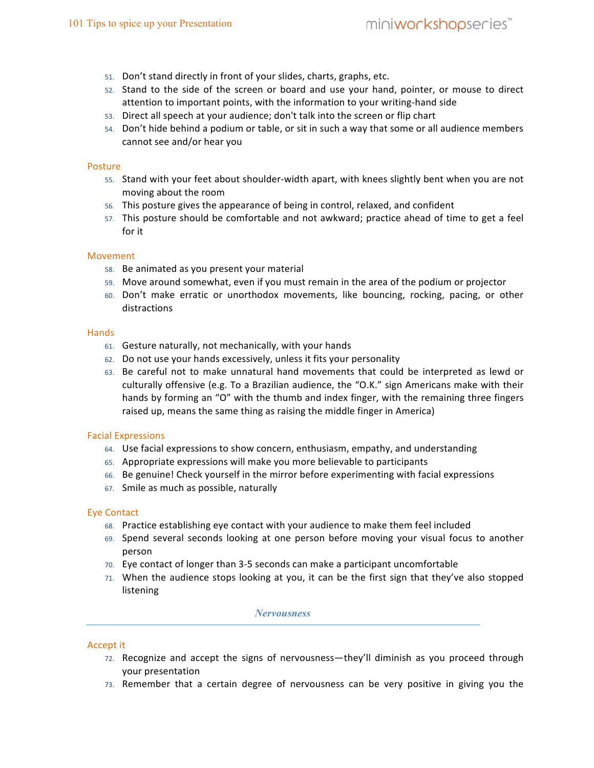- 51. Don't stand directly in front of your slides, charts, graphs, etc.
- 52. Stand to the side of the screen or board and use your hand, pointer, or mouse to direct attention to important points, with the information to your writing-hand side
- 53. Direct all speech at your audience; don't talk into the screen or flip chart
- 54. Don't hide behind a podium or table, or sit in such a way that some or all audience members cannot see and/or hear you

## Posture

- 55. Stand with your feet about shoulder-width apart, with knees slightly bent when you are not moving about the room
- 56. This posture gives the appearance of being in control, relaxed, and confident
- 57. This posture should be comfortable and not awkward; practice ahead of time to get a feel for it

## Movement.

- 58. Be animated as you present your material
- 59. Move around somewhat, even if you must remain in the area of the podium or projector
- 60. Don't make erratic or unorthodox movements, like bouncing, rocking, pacing, or other distractions

#### **Hands**

- 61. Gesture naturally, not mechanically, with your hands
- 62. Do not use your hands excessively, unless it fits your personality
- 63. Be careful not to make unnatural hand movements that could be interpreted as lewd or. culturally offensive (e.g. To a Brazilian audience, the "O.K." sign Americans make with their hands by forming an "O" with the thumb and index finger, with the remaining three fingers. raised up, means the same thing as raising the middle finger in America)

#### Facial Expressions

- 64. Use facial expressions to show concern, enthusiasm, empathy, and understanding
- 65. Appropriate expressions will make you more believable to participants
- 66. Be genuine! Check yourself in the mirror before experimenting with facial expressions
- 67. Smile as much as possible, naturally

#### Eye.Contact

- 68. Practice establishing eye contact with your audience to make them feel included
- 69. Spend several seconds looking at one person before moving your visual focus to another person
- 70. Eye contact of longer than 3-5 seconds can make a participant uncomfortable
- 71. When the audience stops looking at you, it can be the first sign that they've also stopped. listening

#### *Nervousness*

#### Accept it

- 72. Recognize. and. accept. the. signs. of. nervousness—they'll. diminish. as. you. proceed. through. your presentation
- 73. Remember that a certain degree of nervousness can be very positive in giving you the.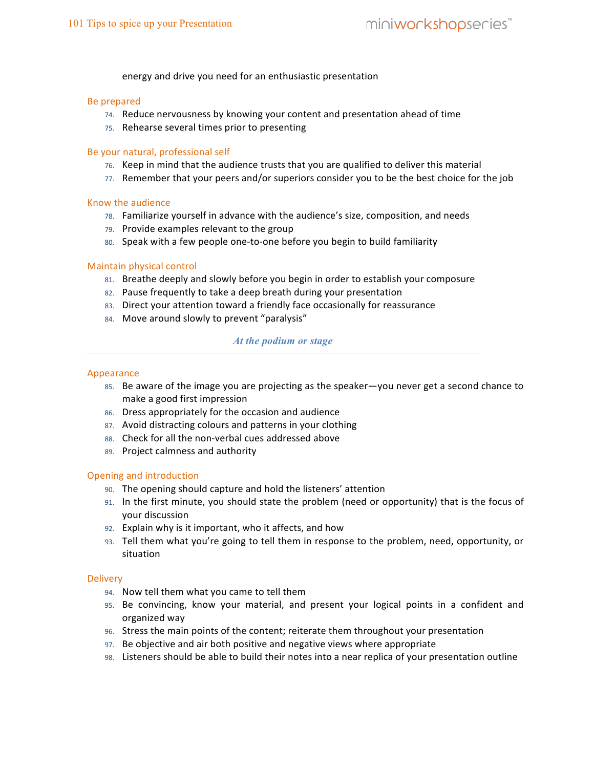energy and drive you need for an enthusiastic presentation

#### Be prepared

- 74. Reduce nervousness by knowing your content and presentation ahead of time.
- 75. Rehearse several times prior to presenting

## Be your natural, professional self

- 76. Keep in mind that the audience trusts that you are qualified to deliver this material
- 77. Remember that your peers and/or superiors consider you to be the best choice for the job

#### Know.the.audience

- 78. Familiarize yourself in advance with the audience's size, composition, and needs
- 79. Provide examples relevant to the group
- 80. Speak with a few people one-to-one before you begin to build familiarity

## Maintain physical control

- 81. Breathe deeply and slowly before you begin in order to establish your composure
- 82. Pause frequently to take a deep breath during your presentation
- 83. Direct your attention toward a friendly face occasionally for reassurance
- 84. Move around slowly to prevent "paralysis"

# *At the podium or stage*

#### Appearance

- 85. Be aware of the image you are projecting as the speaker—you never get a second chance to. make a good first impression
- 86. Dress appropriately for the occasion and audience
- 87. Avoid distracting colours and patterns in your clothing
- 88. Check for all the non-verbal cues addressed above
- 89. Project calmness and authority

#### Opening and introduction

- 90. The opening should capture and hold the listeners' attention
- 91. In the first minute, you should state the problem (need or opportunity) that is the focus of your discussion
- 92. Explain why is it important, who it affects, and how
- 93. Tell them what you're going to tell them in response to the problem, need, opportunity, or. situation

#### **Delivery**

- 94. Now tell them what you came to tell them.
- 95. Be convincing, know your material, and present your logical points in a confident and organized.way
- 96. Stress the main points of the content; reiterate them throughout your presentation
- 97. Be objective and air both positive and negative views where appropriate
- 98. Listeners should be able to build their notes into a near replica of your presentation outline